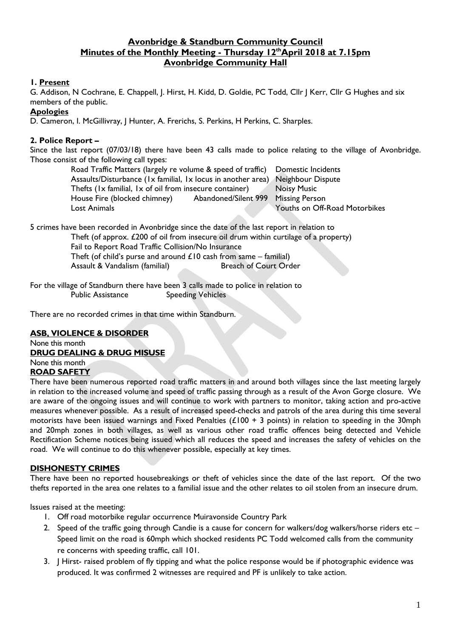# **Avonbridge & Standburn Community Council**  Minutes of the Monthly Meeting - Thursday 12<sup>th</sup>April 2018 at 7.15pm **Avonbridge Community Hall**

# **1. Present**

G. Addison, N Cochrane, E. Chappell, J. Hirst, H. Kidd, D. Goldie, PC Todd, Cllr J Kerr, Cllr G Hughes and six members of the public.

## **Apologies**

D. Cameron, I. McGillivray, J Hunter, A. Frerichs, S. Perkins, H Perkins, C. Sharples.

# **2. Police Report –**

Since the last report (07/03/18) there have been 43 calls made to police relating to the village of Avonbridge. Those consist of the following call types:

Road Traffic Matters (largely re volume & speed of traffic) Domestic Incidents Assaults/Disturbance (1x familial, 1x locus in another area) Neighbour Dispute Thefts (1x familial, 1x of oil from insecure container) Noisy Music House Fire (blocked chimney) Abandoned/Silent 999 Missing Person Lost Animals Youths on Off-Road Motorbikes

5 crimes have been recorded in Avonbridge since the date of the last report in relation to Theft (of approx. £200 of oil from insecure oil drum within curtilage of a property) Fail to Report Road Traffic Collision/No Insurance Theft (of child's purse and around  $£10$  cash from same – familial) Assault & Vandalism (familial) Breach of Court Order

For the village of Standburn there have been 3 calls made to police in relation to Public Assistance Speeding Vehicles

There are no recorded crimes in that time within Standburn.

# **ASB, VIOLENCE & DISORDER**

#### None this month **DRUG DEALING & DRUG MISUSE**

None this month

## **ROAD SAFETY**

There have been numerous reported road traffic matters in and around both villages since the last meeting largely in relation to the increased volume and speed of traffic passing through as a result of the Avon Gorge closure. We are aware of the ongoing issues and will continue to work with partners to monitor, taking action and pro-active measures whenever possible. As a result of increased speed-checks and patrols of the area during this time several motorists have been issued warnings and Fixed Penalties ( $£100 + 3$  points) in relation to speeding in the 30mph and 20mph zones in both villages, as well as various other road traffic offences being detected and Vehicle Rectification Scheme notices being issued which all reduces the speed and increases the safety of vehicles on the road. We will continue to do this whenever possible, especially at key times.

## **DISHONESTY CRIMES**

There have been no reported housebreakings or theft of vehicles since the date of the last report. Of the two thefts reported in the area one relates to a familial issue and the other relates to oil stolen from an insecure drum.

Issues raised at the meeting:

- 1. Off road motorbike regular occurrence Muiravonside Country Park
- 2. Speed of the traffic going through Candie is a cause for concern for walkers/dog walkers/horse riders etc Speed limit on the road is 60mph which shocked residents PC Todd welcomed calls from the community re concerns with speeding traffic, call 101.
- 3. J Hirst- raised problem of fly tipping and what the police response would be if photographic evidence was produced. It was confirmed 2 witnesses are required and PF is unlikely to take action.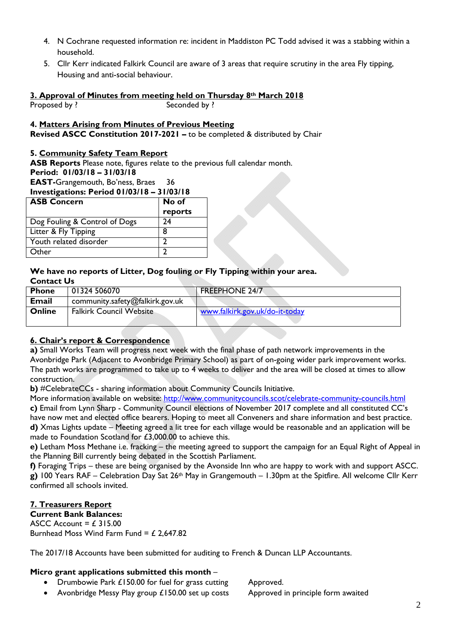- 4. N Cochrane requested information re: incident in Maddiston PC Todd advised it was a stabbing within a household.
- 5. Cllr Kerr indicated Falkirk Council are aware of 3 areas that require scrutiny in the area Fly tipping, Housing and anti-social behaviour.

#### **3. Approval of Minutes from meeting held on Thursday 8th March 2018**  Proposed by ? Seconded by ?

## **4. Matters Arising from Minutes of Previous Meeting**

**Revised ASCC Constitution 2017-2021 –** to be completed & distributed by Chair

#### **5. Community Safety Team Report**

**ASB Reports** Please note, figures relate to the previous full calendar month.

#### **Period: 01/03/18 – 31/03/18**

**EAST-**Grangemouth, Bo'ness, Braes 36

**Investigations: Period 01/03/18 – 31/03/18** 

| <b>ASB Concern</b>            | No of   |
|-------------------------------|---------|
|                               | reports |
| Dog Fouling & Control of Dogs | 74      |
| Litter & Fly Tipping          | 8       |
| Youth related disorder        |         |
| Other                         |         |

## **We have no reports of Litter, Dog fouling or Fly Tipping within your area. Contact Us**

| <b>Phone</b>  | 01324 506070                    | <b>FREEPHONE 24/7</b>          |
|---------------|---------------------------------|--------------------------------|
| <b>Email</b>  | community.safety@falkirk.gov.uk |                                |
| <b>Online</b> | <b>Falkirk Council Website</b>  | www.falkirk.gov.uk/do-it-today |

## **6. Chair's report & Correspondence**

**a)** Small Works Team will progress next week with the final phase of path network improvements in the Avonbridge Park (Adjacent to Avonbridge Primary School) as part of on-going wider park improvement works. The path works are programmed to take up to 4 weeks to deliver and the area will be closed at times to allow construction.

**b)** #CelebrateCCs - sharing information about Community Councils Initiative.

More information available on website: http://www.communitycouncils.scot/celebrate-community-councils.html **c)** Email from Lynn Sharp - Community Council elections of November 2017 complete and all constituted CC's have now met and elected office bearers. Hoping to meet all Conveners and share information and best practice. **d)** Xmas Lights update – Meeting agreed a lit tree for each village would be reasonable and an application will be made to Foundation Scotland for £3,000.00 to achieve this.

**e)** Letham Moss Methane i.e. fracking – the meeting agreed to support the campaign for an Equal Right of Appeal in the Planning Bill currently being debated in the Scottish Parliament.

**f)** Foraging Trips – these are being organised by the Avonside Inn who are happy to work with and support ASCC. **g)** 100 Years RAF – Celebration Day Sat 26th May in Grangemouth – 1.30pm at the Spitfire. All welcome Cllr Kerr confirmed all schools invited.

# **7. Treasurers Report**

**Current Bank Balances:**  ASCC Account =  $£ 315.00$ Burnhead Moss Wind Farm Fund =  $£$  2,647.82

The 2017/18 Accounts have been submitted for auditing to French & Duncan LLP Accountants.

## **Micro grant applications submitted this month** –

- Drumbowie Park £150.00 for fuel for grass cutting Approved.
- Avonbridge Messy Play group £150.00 set up costs Approved in principle form awaited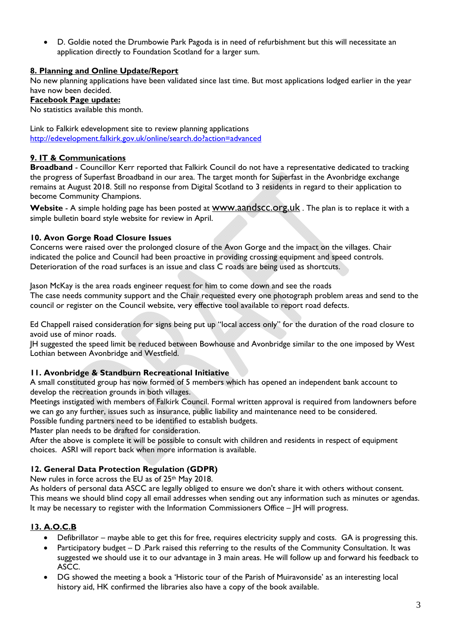D. Goldie noted the Drumbowie Park Pagoda is in need of refurbishment but this will necessitate an application directly to Foundation Scotland for a larger sum.

# **8. Planning and Online Update/Report**

No new planning applications have been validated since last time. But most applications lodged earlier in the year have now been decided.

#### **Facebook Page update:**

No statistics available this month.

Link to Falkirk edevelopment site to review planning applications http://edevelopment.falkirk.gov.uk/online/search.do?action=advanced

## **9. IT & Communications**

**Broadband** - Councillor Kerr reported that Falkirk Council do not have a representative dedicated to tracking the progress of Superfast Broadband in our area. The target month for Superfast in the Avonbridge exchange remains at August 2018. Still no response from Digital Scotland to 3 residents in regard to their application to become Community Champions.

**Website** - A simple holding page has been posted at www.aandscc.org.uk . The plan is to replace it with a simple bulletin board style website for review in April.

#### **10. Avon Gorge Road Closure Issues**

Concerns were raised over the prolonged closure of the Avon Gorge and the impact on the villages. Chair indicated the police and Council had been proactive in providing crossing equipment and speed controls. Deterioration of the road surfaces is an issue and class C roads are being used as shortcuts.

Jason McKay is the area roads engineer request for him to come down and see the roads The case needs community support and the Chair requested every one photograph problem areas and send to the council or register on the Council website, very effective tool available to report road defects.

Ed Chappell raised consideration for signs being put up "local access only" for the duration of the road closure to avoid use of minor roads.

JH suggested the speed limit be reduced between Bowhouse and Avonbridge similar to the one imposed by West Lothian between Avonbridge and Westfield.

## **11. Avonbridge & Standburn Recreational Initiative**

A small constituted group has now formed of 5 members which has opened an independent bank account to develop the recreation grounds in both villages.

Meetings instigated with members of Falkirk Council. Formal written approval is required from landowners before we can go any further, issues such as insurance, public liability and maintenance need to be considered. Possible funding partners need to be identified to establish budgets.

Master plan needs to be drafted for consideration.

After the above is complete it will be possible to consult with children and residents in respect of equipment choices. ASRI will report back when more information is available.

## **12. General Data Protection Regulation (GDPR)**

New rules in force across the EU as of 25th May 2018.

As holders of personal data ASCC are legally obliged to ensure we don't share it with others without consent. This means we should blind copy all email addresses when sending out any information such as minutes or agendas. It may be necessary to register with the Information Commissioners Office – JH will progress.

# **13. A.O.C.B**

- Defibrillator maybe able to get this for free, requires electricity supply and costs. GA is progressing this.
- **•** Participatory budget  $-$  D .Park raised this referring to the results of the Community Consultation. It was suggested we should use it to our advantage in 3 main areas. He will follow up and forward his feedback to ASCC.
- DG showed the meeting a book a 'Historic tour of the Parish of Muiravonside' as an interesting local history aid, HK confirmed the libraries also have a copy of the book available.